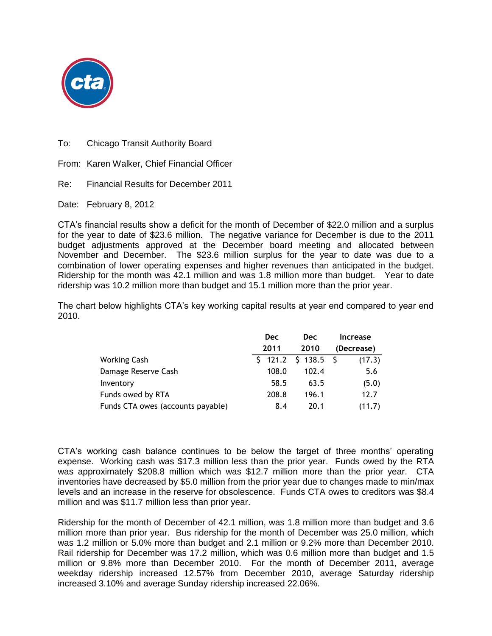

To: Chicago Transit Authority Board

From: Karen Walker, Chief Financial Officer

Re: Financial Results for December 2011

Date: February 8, 2012

CTA's financial results show a deficit for the month of December of \$22.0 million and a surplus for the year to date of \$23.6 million. The negative variance for December is due to the 2011 budget adjustments approved at the December board meeting and allocated between November and December. The \$23.6 million surplus for the year to date was due to a combination of lower operating expenses and higher revenues than anticipated in the budget. Ridership for the month was 42.1 million and was 1.8 million more than budget. Year to date ridership was 10.2 million more than budget and 15.1 million more than the prior year.

The chart below highlights CTA's key working capital results at year end compared to year end 2010.

|                                   | <b>Dec</b> | <b>Dec</b>            | Increase   |
|-----------------------------------|------------|-----------------------|------------|
|                                   | 2011       | 2010                  | (Decrease) |
| <b>Working Cash</b>               |            | $$121.2 \t$138.5 \t$$ | (17.3)     |
| Damage Reserve Cash               | 108.0      | 102.4                 | 5.6        |
| Inventory                         | 58.5       | 63.5                  | (5.0)      |
| Funds owed by RTA                 | 208.8      | 196.1                 | 12.7       |
| Funds CTA owes (accounts payable) | 8.4        | 20.1                  | (11.7)     |

CTA's working cash balance continues to be below the target of three months' operating expense. Working cash was \$17.3 million less than the prior year. Funds owed by the RTA was approximately \$208.8 million which was \$12.7 million more than the prior year. CTA inventories have decreased by \$5.0 million from the prior year due to changes made to min/max levels and an increase in the reserve for obsolescence. Funds CTA owes to creditors was \$8.4 million and was \$11.7 million less than prior year.

Ridership for the month of December of 42.1 million, was 1.8 million more than budget and 3.6 million more than prior year. Bus ridership for the month of December was 25.0 million, which was 1.2 million or 5.0% more than budget and 2.1 million or 9.2% more than December 2010. Rail ridership for December was 17.2 million, which was 0.6 million more than budget and 1.5 million or 9.8% more than December 2010. For the month of December 2011, average weekday ridership increased 12.57% from December 2010, average Saturday ridership increased 3.10% and average Sunday ridership increased 22.06%.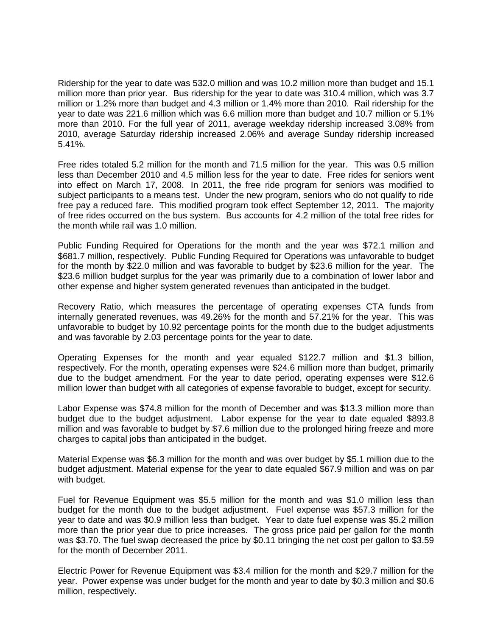Ridership for the year to date was 532.0 million and was 10.2 million more than budget and 15.1 million more than prior year. Bus ridership for the year to date was 310.4 million, which was 3.7 million or 1.2% more than budget and 4.3 million or 1.4% more than 2010. Rail ridership for the year to date was 221.6 million which was 6.6 million more than budget and 10.7 million or 5.1% more than 2010. For the full year of 2011, average weekday ridership increased 3.08% from 2010, average Saturday ridership increased 2.06% and average Sunday ridership increased 5.41%.

Free rides totaled 5.2 million for the month and 71.5 million for the year. This was 0.5 million less than December 2010 and 4.5 million less for the year to date. Free rides for seniors went into effect on March 17, 2008. In 2011, the free ride program for seniors was modified to subject participants to a means test. Under the new program, seniors who do not qualify to ride free pay a reduced fare. This modified program took effect September 12, 2011. The majority of free rides occurred on the bus system. Bus accounts for 4.2 million of the total free rides for the month while rail was 1.0 million.

Public Funding Required for Operations for the month and the year was \$72.1 million and \$681.7 million, respectively. Public Funding Required for Operations was unfavorable to budget for the month by \$22.0 million and was favorable to budget by \$23.6 million for the year. The \$23.6 million budget surplus for the year was primarily due to a combination of lower labor and other expense and higher system generated revenues than anticipated in the budget.

Recovery Ratio, which measures the percentage of operating expenses CTA funds from internally generated revenues, was 49.26% for the month and 57.21% for the year. This was unfavorable to budget by 10.92 percentage points for the month due to the budget adjustments and was favorable by 2.03 percentage points for the year to date.

Operating Expenses for the month and year equaled \$122.7 million and \$1.3 billion, respectively. For the month, operating expenses were \$24.6 million more than budget, primarily due to the budget amendment. For the year to date period, operating expenses were \$12.6 million lower than budget with all categories of expense favorable to budget, except for security.

Labor Expense was \$74.8 million for the month of December and was \$13.3 million more than budget due to the budget adjustment. Labor expense for the year to date equaled \$893.8 million and was favorable to budget by \$7.6 million due to the prolonged hiring freeze and more charges to capital jobs than anticipated in the budget.

Material Expense was \$6.3 million for the month and was over budget by \$5.1 million due to the budget adjustment. Material expense for the year to date equaled \$67.9 million and was on par with budget.

Fuel for Revenue Equipment was \$5.5 million for the month and was \$1.0 million less than budget for the month due to the budget adjustment. Fuel expense was \$57.3 million for the year to date and was \$0.9 million less than budget. Year to date fuel expense was \$5.2 million more than the prior year due to price increases. The gross price paid per gallon for the month was \$3.70. The fuel swap decreased the price by \$0.11 bringing the net cost per gallon to \$3.59 for the month of December 2011.

Electric Power for Revenue Equipment was \$3.4 million for the month and \$29.7 million for the year. Power expense was under budget for the month and year to date by \$0.3 million and \$0.6 million, respectively.